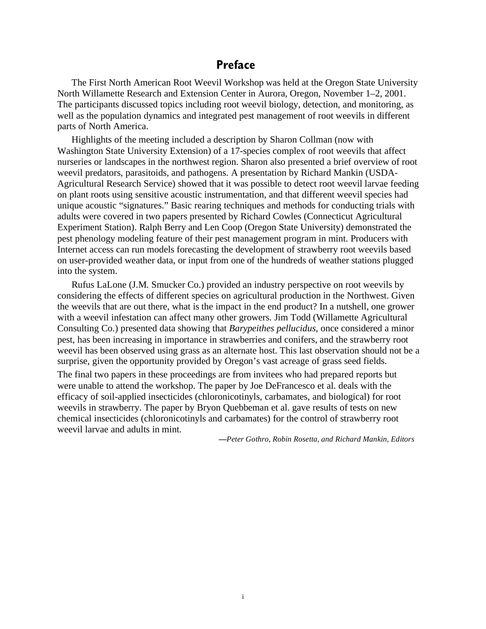## **Preface**

The First North American Root Weevil Workshop was held at the Oregon State University North Willamette Research and Extension Center in Aurora, Oregon, November 1–2, 2001. The participants discussed topics including root weevil biology, detection, and monitoring, as well as the population dynamics and integrated pest management of root weevils in different parts of North America.

Highlights of the meeting included a description by Sharon Collman (now with Washington State University Extension) of a 17-species complex of root weevils that affect nurseries or landscapes in the northwest region. Sharon also presented a brief overview of root weevil predators, parasitoids, and pathogens. A presentation by Richard Mankin (USDA-Agricultural Research Service) showed that it was possible to detect root weevil larvae feeding on plant roots using sensitive acoustic instrumentation, and that different weevil species had unique acoustic "signatures." Basic rearing techniques and methods for conducting trials with adults were covered in two papers presented by Richard Cowles (Connecticut Agricultural Experiment Station). Ralph Berry and Len Coop (Oregon State University) demonstrated the pest phenology modeling feature of their pest management program in mint. Producers with Internet access can run models forecasting the development of strawberry root weevils based on user-provided weather data, or input from one of the hundreds of weather stations plugged into the system.

Rufus LaLone (J.M. Smucker Co.) provided an industry perspective on root weevils by considering the effects of different species on agricultural production in the Northwest. Given the weevils that are out there, what is the impact in the end product? In a nutshell, one grower with a weevil infestation can affect many other growers. Jim Todd (Willamette Agricultural Consulting Co.) presented data showing that *Barypeithes pellucidus,* once considered a minor pest, has been increasing in importance in strawberries and conifers, and the strawberry root weevil has been observed using grass as an alternate host. This last observation should not be a surprise, given the opportunity provided by Oregon's vast acreage of grass seed fields.

The final two papers in these proceedings are from invitees who had prepared reports but were unable to attend the workshop. The paper by Joe DeFrancesco et al. deals with the efficacy of soil-applied insecticides (chloronicotinyls, carbamates, and biological) for root weevils in strawberry. The paper by Bryon Quebbeman et al. gave results of tests on new chemical insecticides (chloronicotinyls and carbamates) for the control of strawberry root weevil larvae and adults in mint.

*—Peter Gothro, Robin Rosetta, and Richard Mankin, Editors*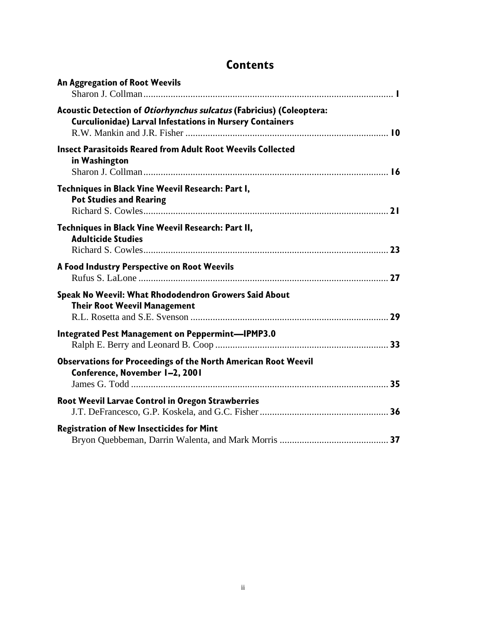| <b>Contents</b> |
|-----------------|
|-----------------|

| An Aggregation of Root Weevils                                                                                                          |  |
|-----------------------------------------------------------------------------------------------------------------------------------------|--|
| Acoustic Detection of Otiorhynchus sulcatus (Fabricius) (Coleoptera:<br><b>Curculionidae) Larval Infestations in Nursery Containers</b> |  |
| <b>Insect Parasitoids Reared from Adult Root Weevils Collected</b><br>in Washington                                                     |  |
| Techniques in Black Vine Weevil Research: Part I,<br><b>Pot Studies and Rearing</b>                                                     |  |
| Techniques in Black Vine Weevil Research: Part II,<br><b>Adulticide Studies</b>                                                         |  |
| A Food Industry Perspective on Root Weevils                                                                                             |  |
| Speak No Weevil: What Rhododendron Growers Said About<br><b>Their Root Weevil Management</b>                                            |  |
| <b>Integrated Pest Management on Peppermint-IPMP3.0</b>                                                                                 |  |
| <b>Observations for Proceedings of the North American Root Weevil</b><br>Conference, November 1-2, 2001                                 |  |
| <b>Root Weevil Larvae Control in Oregon Strawberries</b>                                                                                |  |
| <b>Registration of New Insecticides for Mint</b>                                                                                        |  |